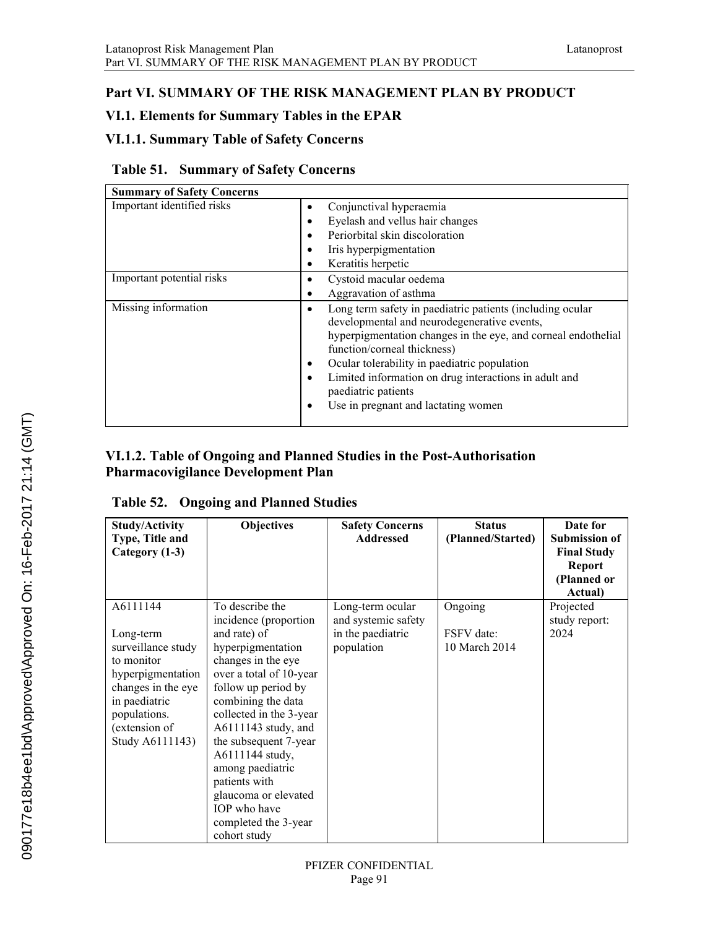# **Part VI. SUMMARY OF THE RISK MANAGEMENT PLAN BY PRODUCT**

# **VI.1. Elements for Summary Tables in the EPAR**

# **VI.1.1. Summary Table of Safety Concerns**

#### **Table 51. Summary of Safety Concerns**

| <b>Summary of Safety Concerns</b> |                                                                                                                                                                                                                                                                                                                                                                                 |
|-----------------------------------|---------------------------------------------------------------------------------------------------------------------------------------------------------------------------------------------------------------------------------------------------------------------------------------------------------------------------------------------------------------------------------|
| Important identified risks        | Conjunctival hyperaemia<br>Eyelash and vellus hair changes<br>Periorbital skin discoloration<br>Iris hyperpigmentation<br>Keratitis herpetic                                                                                                                                                                                                                                    |
| Important potential risks         | Cystoid macular oedema<br>Aggravation of asthma                                                                                                                                                                                                                                                                                                                                 |
| Missing information               | Long term safety in paediatric patients (including ocular<br>developmental and neurodegenerative events,<br>hyperpigmentation changes in the eye, and corneal endothelial<br>function/corneal thickness)<br>Ocular tolerability in paediatric population<br>Limited information on drug interactions in adult and<br>paediatric patients<br>Use in pregnant and lactating women |

#### **VI.1.2. Table of Ongoing and Planned Studies in the Post-Authorisation Pharmacovigilance Development Plan**

# **Table 52. Ongoing and Planned Studies**

| <b>Study/Activity</b><br>Type, Title and<br>Category (1-3)                                                                                                                | <b>Objectives</b>                                                                                                                                                                                                                                                                                                                                        | <b>Safety Concerns</b><br><b>Addressed</b>                                 | <b>Status</b><br>(Planned/Started)     | Date for<br><b>Submission of</b><br><b>Final Study</b><br>Report<br>(Planned or<br>Actual) |
|---------------------------------------------------------------------------------------------------------------------------------------------------------------------------|----------------------------------------------------------------------------------------------------------------------------------------------------------------------------------------------------------------------------------------------------------------------------------------------------------------------------------------------------------|----------------------------------------------------------------------------|----------------------------------------|--------------------------------------------------------------------------------------------|
| A6111144<br>Long-term<br>surveillance study<br>to monitor<br>hyperpigmentation<br>changes in the eye<br>in paediatric<br>populations.<br>(extension of<br>Study A6111143) | To describe the<br>incidence (proportion<br>and rate) of<br>hyperpigmentation<br>changes in the eye<br>over a total of 10-year<br>follow up period by<br>combining the data<br>collected in the 3-year<br>$A6111143$ study, and<br>the subsequent 7-year<br>A6111144 study,<br>among paediatric<br>patients with<br>glaucoma or elevated<br>IOP who have | Long-term ocular<br>and systemic safety<br>in the paediatric<br>population | Ongoing<br>FSFV date:<br>10 March 2014 | Projected<br>study report:<br>2024                                                         |
|                                                                                                                                                                           | completed the 3-year<br>cohort study                                                                                                                                                                                                                                                                                                                     |                                                                            |                                        |                                                                                            |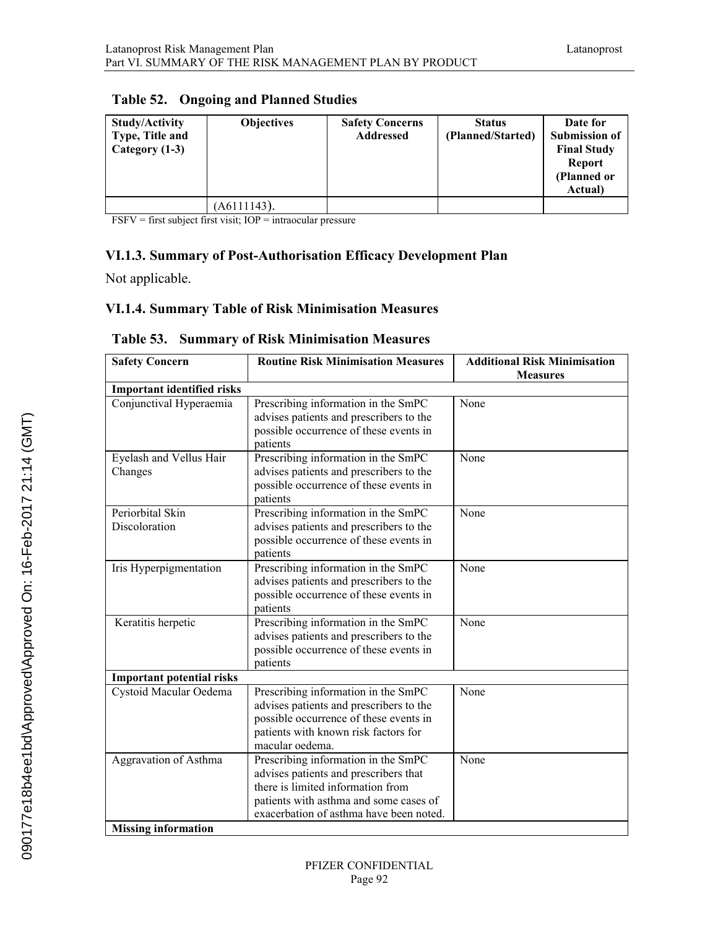| <b>Study/Activity</b><br>Type, Title and<br>Category (1-3) | <b>Objectives</b> | <b>Safety Concerns</b><br><b>Addressed</b> | <b>Status</b><br>(Planned/Started) | Date for<br><b>Submission of</b><br><b>Final Study</b><br><b>Report</b><br>(Planned or<br>Actual) |
|------------------------------------------------------------|-------------------|--------------------------------------------|------------------------------------|---------------------------------------------------------------------------------------------------|
|                                                            | (A6111143).       |                                            |                                    |                                                                                                   |

#### **Table 52. Ongoing and Planned Studies**

FSFV = first subject first visit; IOP = intraocular pressure

#### **VI.1.3. Summary of Post-Authorisation Efficacy Development Plan**

Not applicable.

#### **VI.1.4. Summary Table of Risk Minimisation Measures**

| <b>Safety Concern</b>                               | <b>Routine Risk Minimisation Measures</b>                                                                                                                                                              | <b>Additional Risk Minimisation</b><br><b>Measures</b> |
|-----------------------------------------------------|--------------------------------------------------------------------------------------------------------------------------------------------------------------------------------------------------------|--------------------------------------------------------|
| <b>Important identified risks</b>                   |                                                                                                                                                                                                        |                                                        |
| Conjunctival Hyperaemia                             | Prescribing information in the SmPC<br>advises patients and prescribers to the<br>possible occurrence of these events in<br>patients                                                                   | None                                                   |
| Eyelash and Vellus Hair<br>Changes                  | Prescribing information in the SmPC<br>advises patients and prescribers to the<br>possible occurrence of these events in<br>patients                                                                   | None                                                   |
| Periorbital Skin<br>Discoloration                   | Prescribing information in the SmPC<br>advises patients and prescribers to the<br>possible occurrence of these events in<br>patients                                                                   | None                                                   |
| Iris Hyperpigmentation                              | Prescribing information in the SmPC<br>advises patients and prescribers to the<br>possible occurrence of these events in<br>patients                                                                   | None                                                   |
| Keratitis herpetic                                  | Prescribing information in the SmPC<br>advises patients and prescribers to the<br>possible occurrence of these events in<br>patients                                                                   | None                                                   |
| <b>Important potential risks</b>                    |                                                                                                                                                                                                        |                                                        |
| Cystoid Macular Oedema                              | Prescribing information in the SmPC<br>advises patients and prescribers to the<br>possible occurrence of these events in<br>patients with known risk factors for<br>macular oedema.                    | None                                                   |
| Aggravation of Asthma<br><b>Missing information</b> | Prescribing information in the SmPC<br>advises patients and prescribers that<br>there is limited information from<br>patients with asthma and some cases of<br>exacerbation of asthma have been noted. | None                                                   |

#### **Table 53. Summary of Risk Minimisation Measures**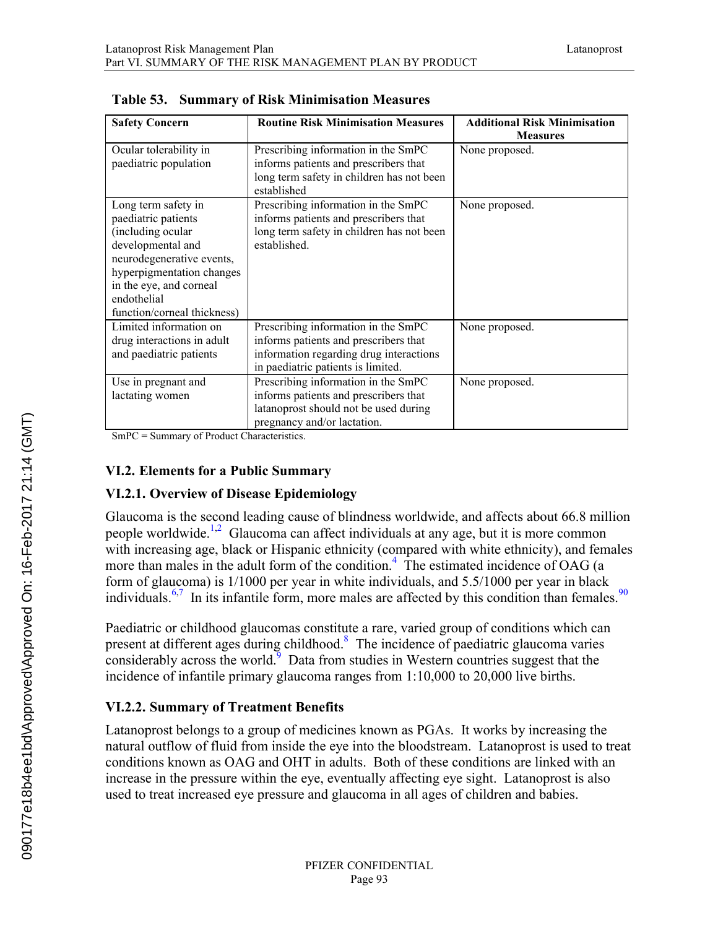| <b>Safety Concern</b>       | <b>Routine Risk Minimisation Measures</b> | <b>Additional Risk Minimisation</b> |
|-----------------------------|-------------------------------------------|-------------------------------------|
|                             |                                           | <b>Measures</b>                     |
| Ocular tolerability in      | Prescribing information in the SmPC       | None proposed.                      |
| paediatric population       | informs patients and prescribers that     |                                     |
|                             | long term safety in children has not been |                                     |
|                             | established                               |                                     |
| Long term safety in         | Prescribing information in the SmPC       | None proposed.                      |
| paediatric patients         | informs patients and prescribers that     |                                     |
| (including ocular           | long term safety in children has not been |                                     |
| developmental and           | established.                              |                                     |
| neurodegenerative events,   |                                           |                                     |
| hyperpigmentation changes   |                                           |                                     |
| in the eye, and corneal     |                                           |                                     |
| endothelial                 |                                           |                                     |
| function/corneal thickness) |                                           |                                     |
| Limited information on      | Prescribing information in the SmPC       | None proposed.                      |
| drug interactions in adult  | informs patients and prescribers that     |                                     |
| and paediatric patients     | information regarding drug interactions   |                                     |
|                             | in paediatric patients is limited.        |                                     |
| Use in pregnant and         | Prescribing information in the SmPC       | None proposed.                      |
| lactating women             | informs patients and prescribers that     |                                     |
|                             | latanoprost should not be used during     |                                     |
|                             | pregnancy and/or lactation.               |                                     |

|  |  |  | Table 53. Summary of Risk Minimisation Measures |  |
|--|--|--|-------------------------------------------------|--|
|--|--|--|-------------------------------------------------|--|

SmPC = Summary of Product Characteristics.

#### **VI.2. Elements for a Public Summary**

#### **VI.2.1. Overview of Disease Epidemiology**

Glaucoma is the second leading cause of blindness worldwide, and affects about 66.8 million people worldwide.<sup>[1,2](#page--1-0)</sup> Glaucoma can affect individuals at any age, but it is more common with increasing age, black or Hispanic ethnicity (compared with white ethnicity), and females more than males in the adult form of the condition.<sup>[4](#page--1-0)</sup> The estimated incidence of OAG (a form of glaucoma) is 1/1000 per year in white individuals, and 5.5/1000 per year in black individuals.<sup>[6,7](#page--1-0)</sup> In its infantile form, more males are affected by this condition than females.<sup>[90](#page--1-1)</sup>

Paediatric or childhood glaucomas constitute a rare, varied group of conditions which can present at different ages during childhood.<sup>[8](#page--1-1)</sup> The incidence of paediatric glaucoma varies considerably across the world. $9$  Data from studies in Western countries suggest that the incidence of infantile primary glaucoma ranges from 1:10,000 to 20,000 live births.

#### **VI.2.2. Summary of Treatment Benefits**

Latanoprost belongs to a group of medicines known as PGAs. It works by increasing the natural outflow of fluid from inside the eye into the bloodstream. Latanoprost is used to treat conditions known as OAG and OHT in adults. Both of these conditions are linked with an increase in the pressure within the eye, eventually affecting eye sight. Latanoprost is also used to treat increased eye pressure and glaucoma in all ages of children and babies.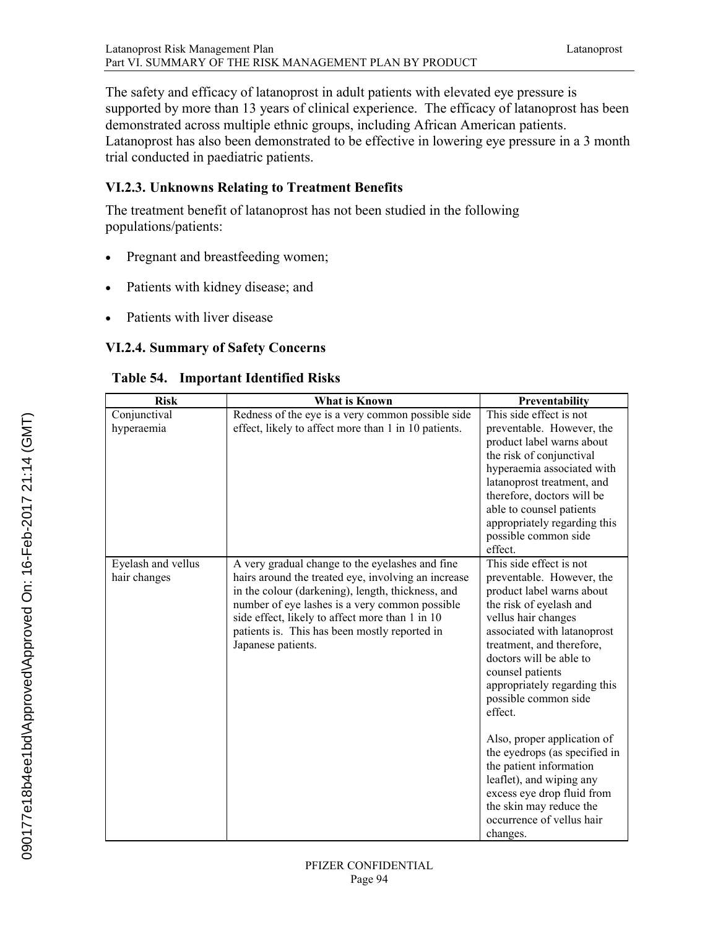The safety and efficacy of latanoprost in adult patients with elevated eye pressure is supported by more than 13 years of clinical experience. The efficacy of latanoprost has been demonstrated across multiple ethnic groups, including African American patients. Latanoprost has also been demonstrated to be effective in lowering eye pressure in a 3 month trial conducted in paediatric patients.

# **VI.2.3. Unknowns Relating to Treatment Benefits**

The treatment benefit of latanoprost has not been studied in the following populations/patients:

- Pregnant and breastfeeding women;
- Patients with kidney disease; and
- Patients with liver disease

# **VI.2.4. Summary of Safety Concerns**

| <b>Risk</b>                        | <b>What is Known</b>                                                                                                                                                                                                                                                                                                                    | Preventability                                                                                                                                                                                                                                                                                                    |
|------------------------------------|-----------------------------------------------------------------------------------------------------------------------------------------------------------------------------------------------------------------------------------------------------------------------------------------------------------------------------------------|-------------------------------------------------------------------------------------------------------------------------------------------------------------------------------------------------------------------------------------------------------------------------------------------------------------------|
| Conjunctival                       | Redness of the eye is a very common possible side                                                                                                                                                                                                                                                                                       | This side effect is not                                                                                                                                                                                                                                                                                           |
| hyperaemia                         | effect, likely to affect more than 1 in 10 patients.                                                                                                                                                                                                                                                                                    | preventable. However, the<br>product label warns about<br>the risk of conjunctival<br>hyperaemia associated with<br>latanoprost treatment, and<br>therefore, doctors will be<br>able to counsel patients<br>appropriately regarding this<br>possible common side<br>effect.                                       |
| Eyelash and vellus<br>hair changes | A very gradual change to the eyelashes and fine<br>hairs around the treated eye, involving an increase<br>in the colour (darkening), length, thickness, and<br>number of eye lashes is a very common possible<br>side effect, likely to affect more than 1 in 10<br>patients is. This has been mostly reported in<br>Japanese patients. | This side effect is not<br>preventable. However, the<br>product label warns about<br>the risk of eyelash and<br>vellus hair changes<br>associated with latanoprost<br>treatment, and therefore,<br>doctors will be able to<br>counsel patients<br>appropriately regarding this<br>possible common side<br>effect. |
|                                    |                                                                                                                                                                                                                                                                                                                                         | Also, proper application of<br>the eyedrops (as specified in<br>the patient information<br>leaflet), and wiping any<br>excess eye drop fluid from<br>the skin may reduce the<br>occurrence of vellus hair<br>changes.                                                                                             |

**Table 54. Important Identified Risks**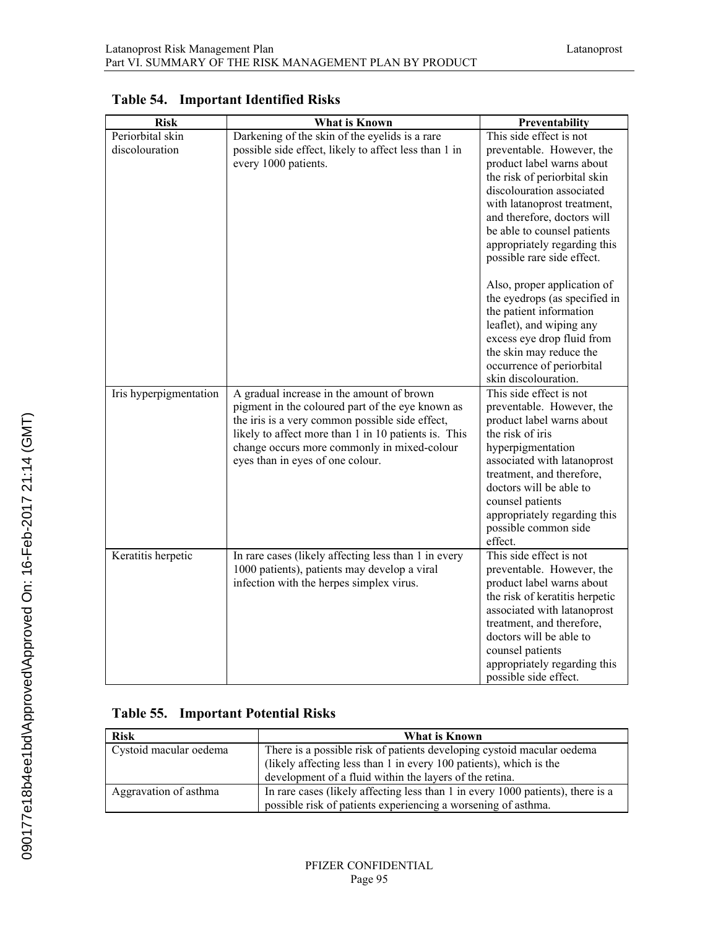| <b>Risk</b>                        | What is Known                                                                                                                                                                                                                                                                               | Preventability                                                                                                                                                                                                                                                                                                                                                                                                                                                                                                                                 |
|------------------------------------|---------------------------------------------------------------------------------------------------------------------------------------------------------------------------------------------------------------------------------------------------------------------------------------------|------------------------------------------------------------------------------------------------------------------------------------------------------------------------------------------------------------------------------------------------------------------------------------------------------------------------------------------------------------------------------------------------------------------------------------------------------------------------------------------------------------------------------------------------|
| Periorbital skin<br>discolouration | Darkening of the skin of the eyelids is a rare<br>possible side effect, likely to affect less than 1 in<br>every 1000 patients.                                                                                                                                                             | This side effect is not<br>preventable. However, the<br>product label warns about<br>the risk of periorbital skin<br>discolouration associated<br>with latanoprost treatment,<br>and therefore, doctors will<br>be able to counsel patients<br>appropriately regarding this<br>possible rare side effect.<br>Also, proper application of<br>the eyedrops (as specified in<br>the patient information<br>leaflet), and wiping any<br>excess eye drop fluid from<br>the skin may reduce the<br>occurrence of periorbital<br>skin discolouration. |
| Iris hyperpigmentation             | A gradual increase in the amount of brown<br>pigment in the coloured part of the eye known as<br>the iris is a very common possible side effect,<br>likely to affect more than 1 in 10 patients is. This<br>change occurs more commonly in mixed-colour<br>eyes than in eyes of one colour. | This side effect is not<br>preventable. However, the<br>product label warns about<br>the risk of iris<br>hyperpigmentation<br>associated with latanoprost<br>treatment, and therefore,<br>doctors will be able to<br>counsel patients<br>appropriately regarding this<br>possible common side<br>effect.                                                                                                                                                                                                                                       |
| Keratitis herpetic                 | In rare cases (likely affecting less than 1 in every<br>1000 patients), patients may develop a viral<br>infection with the herpes simplex virus.                                                                                                                                            | This side effect is not<br>preventable. However, the<br>product label warns about<br>the risk of keratitis herpetic<br>associated with latanoprost<br>treatment, and therefore,<br>doctors will be able to<br>counsel patients<br>appropriately regarding this<br>possible side effect.                                                                                                                                                                                                                                                        |

# **Table 54. Important Identified Risks**

# **Table 55. Important Potential Risks**

| <b>Risk</b>            | What is Known                                                                   |  |  |
|------------------------|---------------------------------------------------------------------------------|--|--|
| Cystoid macular oedema | There is a possible risk of patients developing cystoid macular oedema          |  |  |
|                        | (likely affecting less than 1 in every 100 patients), which is the              |  |  |
|                        | development of a fluid within the layers of the retina.                         |  |  |
| Aggravation of asthma  | In rare cases (likely affecting less than 1 in every 1000 patients), there is a |  |  |
|                        | possible risk of patients experiencing a worsening of asthma.                   |  |  |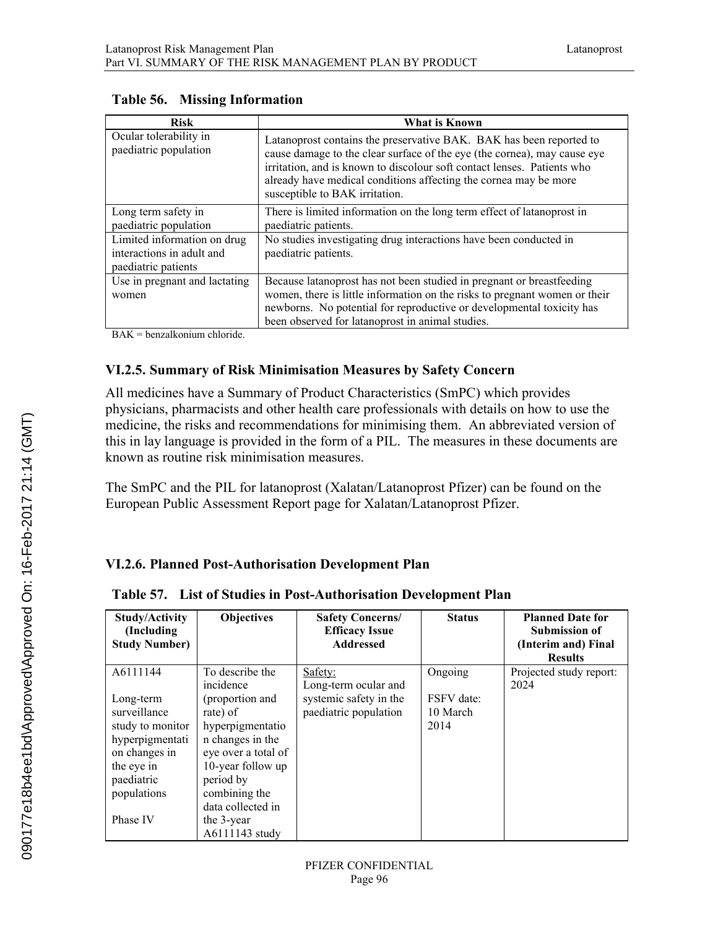| <b>Risk</b>                                                                     | What is Known                                                                                                                                                                                                                                                                                                                    |
|---------------------------------------------------------------------------------|----------------------------------------------------------------------------------------------------------------------------------------------------------------------------------------------------------------------------------------------------------------------------------------------------------------------------------|
| Ocular tolerability in<br>paediatric population                                 | Latanoprost contains the preservative BAK. BAK has been reported to<br>cause damage to the clear surface of the eye (the cornea), may cause eye<br>irritation, and is known to discolour soft contact lenses. Patients who<br>already have medical conditions affecting the cornea may be more<br>susceptible to BAK irritation. |
| Long term safety in<br>paediatric population                                    | There is limited information on the long term effect of latanoprost in<br>paediatric patients.                                                                                                                                                                                                                                   |
| Limited information on drug<br>interactions in adult and<br>paediatric patients | No studies investigating drug interactions have been conducted in<br>paediatric patients.                                                                                                                                                                                                                                        |
| Use in pregnant and lactating<br>women                                          | Because latanoprost has not been studied in pregnant or breastfeeding<br>women, there is little information on the risks to pregnant women or their<br>newborns. No potential for reproductive or developmental toxicity has<br>been observed for latanoprost in animal studies.                                                 |

#### **Table 56. Missing Information**

BAK = benzalkonium chloride.

### **VI.2.5. Summary of Risk Minimisation Measures by Safety Concern**

All medicines have a Summary of Product Characteristics (SmPC) which provides physicians, pharmacists and other health care professionals with details on how to use the medicine, the risks and recommendations for minimising them. An abbreviated version of this in lay language is provided in the form of a PIL. The measures in these documents are known as routine risk minimisation measures.

The SmPC and the PIL for latanoprost (Xalatan/Latanoprost Pfizer) can be found on the European Public Assessment Report page for Xalatan/Latanoprost Pfizer.

# **VI.2.6. Planned Post-Authorisation Development Plan**

**Table 57. List of Studies in Post-Authorisation Development Plan**

| <b>Study/Activity</b><br>(Including)<br><b>Study Number)</b> | <b>Objectives</b>   | <b>Safety Concerns/</b><br><b>Efficacy Issue</b><br><b>Addressed</b> | <b>Status</b> | <b>Planned Date for</b><br><b>Submission of</b><br>(Interim and) Final<br><b>Results</b> |
|--------------------------------------------------------------|---------------------|----------------------------------------------------------------------|---------------|------------------------------------------------------------------------------------------|
| A6111144                                                     | To describe the     | Safety:                                                              | Ongoing       | Projected study report:                                                                  |
|                                                              | incidence           | Long-term ocular and                                                 |               | 2024                                                                                     |
| Long-term                                                    | (proportion and     | systemic safety in the                                               | FSFV date:    |                                                                                          |
| surveillance                                                 | rate) of            | paediatric population                                                | 10 March      |                                                                                          |
| study to monitor                                             | hyperpigmentatio    |                                                                      | 2014          |                                                                                          |
| hyperpigmentati                                              | n changes in the    |                                                                      |               |                                                                                          |
| on changes in                                                | eye over a total of |                                                                      |               |                                                                                          |
| the eye in                                                   | 10-year follow up   |                                                                      |               |                                                                                          |
| paediatric                                                   | period by           |                                                                      |               |                                                                                          |
| populations                                                  | combining the       |                                                                      |               |                                                                                          |
|                                                              | data collected in   |                                                                      |               |                                                                                          |
| Phase IV                                                     | the 3-year          |                                                                      |               |                                                                                          |
|                                                              | A6111143 study      |                                                                      |               |                                                                                          |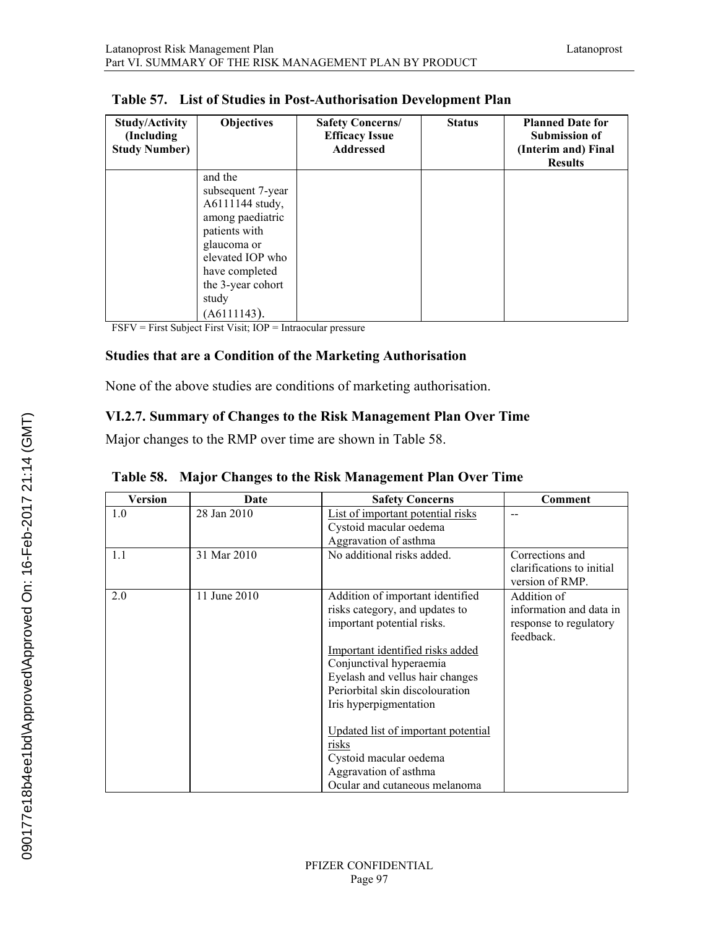| <b>Study/Activity</b><br>(Including)<br><b>Study Number)</b> | <b>Objectives</b>                    | <b>Safety Concerns/</b><br><b>Efficacy Issue</b><br><b>Addressed</b> | <b>Status</b> | <b>Planned Date for</b><br><b>Submission of</b><br>(Interim and) Final<br><b>Results</b> |
|--------------------------------------------------------------|--------------------------------------|----------------------------------------------------------------------|---------------|------------------------------------------------------------------------------------------|
|                                                              | and the                              |                                                                      |               |                                                                                          |
|                                                              | subsequent 7-year<br>A6111144 study, |                                                                      |               |                                                                                          |
|                                                              | among paediatric                     |                                                                      |               |                                                                                          |
|                                                              | patients with                        |                                                                      |               |                                                                                          |
|                                                              | glaucoma or                          |                                                                      |               |                                                                                          |
|                                                              | elevated IOP who                     |                                                                      |               |                                                                                          |
|                                                              | have completed<br>the 3-year cohort  |                                                                      |               |                                                                                          |
|                                                              | study                                |                                                                      |               |                                                                                          |
|                                                              | (A6111143).                          |                                                                      |               |                                                                                          |

FSFV = First Subject First Visit; IOP = Intraocular pressure

#### **Studies that are a Condition of the Marketing Authorisation**

None of the above studies are conditions of marketing authorisation.

### **VI.2.7. Summary of Changes to the Risk Management Plan Over Time**

Major changes to the RMP over time are shown in Table 58.

| <b>Version</b> | Date         | <b>Safety Concerns</b>                                                                                                                                                                                                                                                                                                                                                                              | Comment                                                                       |
|----------------|--------------|-----------------------------------------------------------------------------------------------------------------------------------------------------------------------------------------------------------------------------------------------------------------------------------------------------------------------------------------------------------------------------------------------------|-------------------------------------------------------------------------------|
| 1.0            | 28 Jan 2010  | List of important potential risks<br>Cystoid macular oedema<br>Aggravation of asthma                                                                                                                                                                                                                                                                                                                |                                                                               |
| 1.1            | 31 Mar 2010  | No additional risks added.                                                                                                                                                                                                                                                                                                                                                                          | Corrections and<br>clarifications to initial<br>version of RMP.               |
| 2.0            | 11 June 2010 | Addition of important identified<br>risks category, and updates to<br>important potential risks.<br>Important identified risks added<br>Conjunctival hyperaemia<br>Eyelash and vellus hair changes<br>Periorbital skin discolouration<br>Iris hyperpigmentation<br>Updated list of important potential<br>risks<br>Cystoid macular oedema<br>Aggravation of asthma<br>Ocular and cutaneous melanoma | Addition of<br>information and data in<br>response to regulatory<br>feedback. |

**Table 58. Major Changes to the Risk Management Plan Over Time**